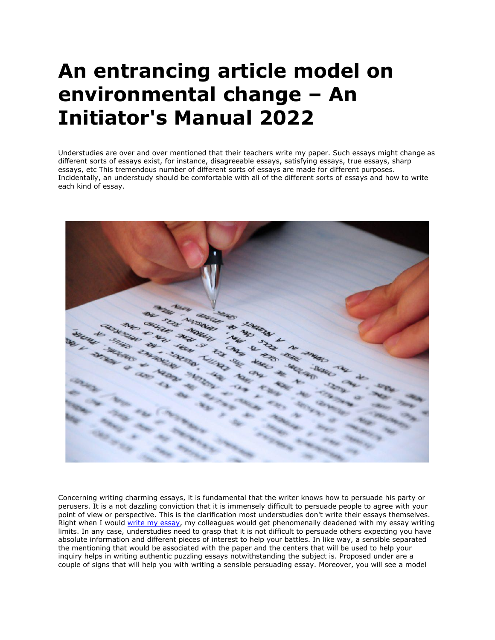## **An entrancing article model on environmental change – An Initiator's Manual 2022**

Understudies are over and over mentioned that their teachers write my paper. Such essays might change as different sorts of essays exist, for instance, disagreeable essays, satisfying essays, true essays, sharp essays, etc This tremendous number of different sorts of essays are made for different purposes. Incidentally, an understudy should be comfortable with all of the different sorts of essays and how to write each kind of essay.



Concerning writing charming essays, it is fundamental that the writer knows how to persuade his party or perusers. It is a not dazzling conviction that it is immensely difficult to persuade people to agree with your point of view or perspective. This is the clarification most understudies don't write their essays themselves. Right when I would [write my essay,](https://writemyessayfast.net/) my colleagues would get phenomenally deadened with my essay writing limits. In any case, understudies need to grasp that it is not difficult to persuade others expecting you have absolute information and different pieces of interest to help your battles. In like way, a sensible separated the mentioning that would be associated with the paper and the centers that will be used to help your inquiry helps in writing authentic puzzling essays notwithstanding the subject is. Proposed under are a couple of signs that will help you with writing a sensible persuading essay. Moreover, you will see a model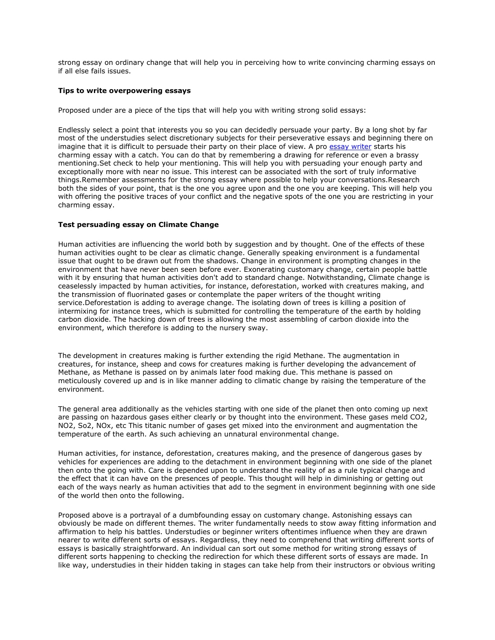strong essay on ordinary change that will help you in perceiving how to write convincing charming essays on if all else fails issues.

## **Tips to write overpowering essays**

Proposed under are a piece of the tips that will help you with writing strong solid essays:

Endlessly select a point that interests you so you can decidedly persuade your party. By a long shot by far most of the understudies select discretionary subjects for their perseverative essays and beginning there on imagine that it is difficult to persuade their party on their place of view. A pro [essay writer](https://youressaywriter.net/) starts his charming essay with a catch. You can do that by remembering a drawing for reference or even a brassy mentioning.Set check to help your mentioning. This will help you with persuading your enough party and exceptionally more with near no issue. This interest can be associated with the sort of truly informative things.Remember assessments for the strong essay where possible to help your conversations.Research both the sides of your point, that is the one you agree upon and the one you are keeping. This will help you with offering the positive traces of your conflict and the negative spots of the one you are restricting in your charming essay.

## **Test persuading essay on Climate Change**

Human activities are influencing the world both by suggestion and by thought. One of the effects of these human activities ought to be clear as climatic change. Generally speaking environment is a fundamental issue that ought to be drawn out from the shadows. Change in environment is prompting changes in the environment that have never been seen before ever. Exonerating customary change, certain people battle with it by ensuring that human activities don't add to standard change. Notwithstanding, Climate change is ceaselessly impacted by human activities, for instance, deforestation, worked with creatures making, and the transmission of fluorinated gases or contemplate the paper writers of the thought writing service.Deforestation is adding to average change. The isolating down of trees is killing a position of intermixing for instance trees, which is submitted for controlling the temperature of the earth by holding carbon dioxide. The hacking down of trees is allowing the most assembling of carbon dioxide into the environment, which therefore is adding to the nursery sway.

The development in creatures making is further extending the rigid Methane. The augmentation in creatures, for instance, sheep and cows for creatures making is further developing the advancement of Methane, as Methane is passed on by animals later food making due. This methane is passed on meticulously covered up and is in like manner adding to climatic change by raising the temperature of the environment.

The general area additionally as the vehicles starting with one side of the planet then onto coming up next are passing on hazardous gases either clearly or by thought into the environment. These gases meld CO2, NO2, So2, NOx, etc This titanic number of gases get mixed into the environment and augmentation the temperature of the earth. As such achieving an unnatural environmental change.

Human activities, for instance, deforestation, creatures making, and the presence of dangerous gases by vehicles for experiences are adding to the detachment in environment beginning with one side of the planet then onto the going with. Care is depended upon to understand the reality of as a rule typical change and the effect that it can have on the presences of people. This thought will help in diminishing or getting out each of the ways nearly as human activities that add to the segment in environment beginning with one side of the world then onto the following.

Proposed above is a portrayal of a dumbfounding essay on customary change. Astonishing essays can obviously be made on different themes. The writer fundamentally needs to stow away fitting information and affirmation to help his battles. Understudies or beginner writers oftentimes influence when they are drawn nearer to write different sorts of essays. Regardless, they need to comprehend that writing different sorts of essays is basically straightforward. An individual can sort out some method for writing strong essays of different sorts happening to checking the redirection for which these different sorts of essays are made. In like way, understudies in their hidden taking in stages can take help from their instructors or obvious writing